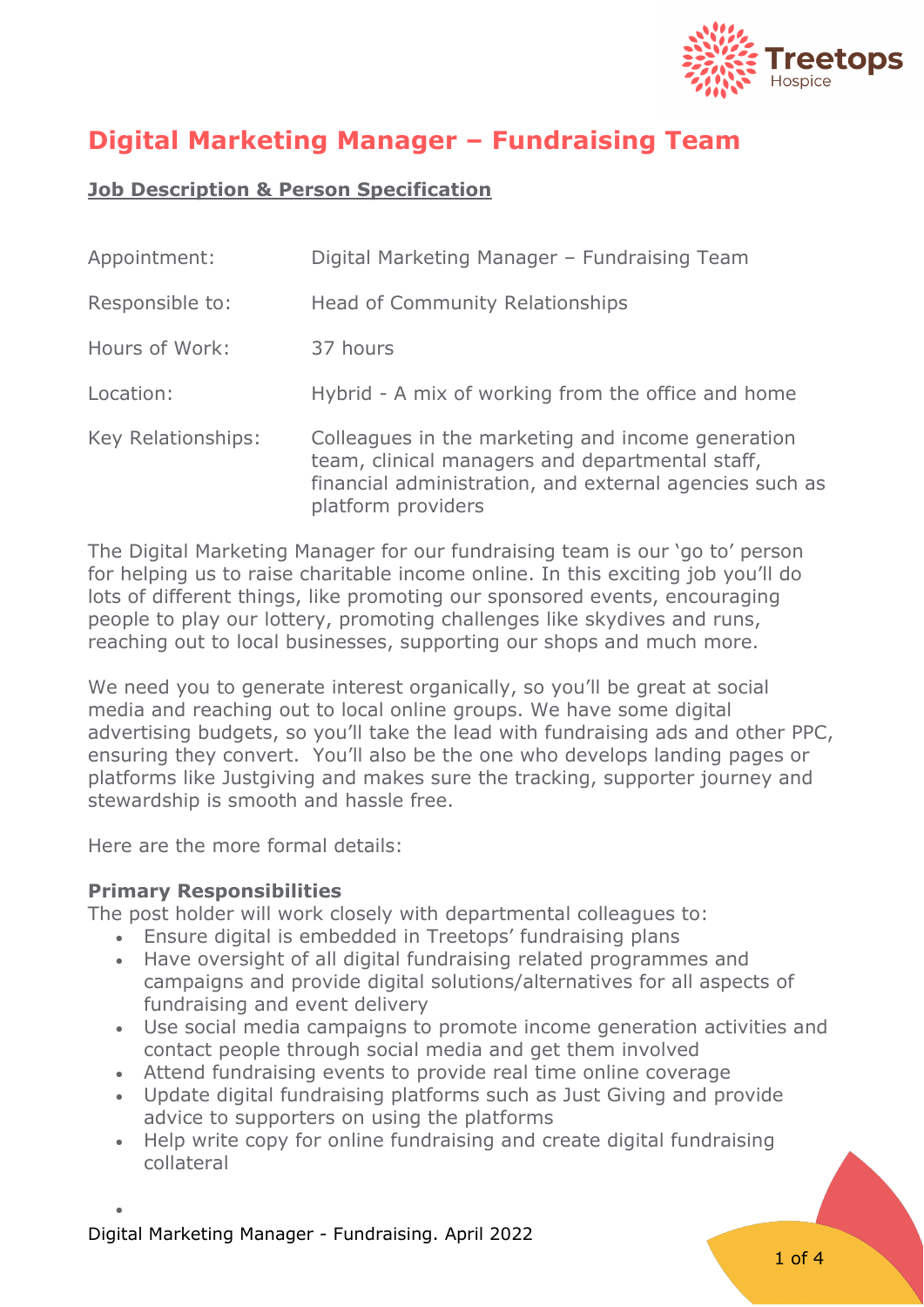

# **Digital Marketing Manager – Fundraising Team**

# **Job Description & Person Specification**

| Appointment:       | Digital Marketing Manager - Fundraising Team                                                                                                                                          |
|--------------------|---------------------------------------------------------------------------------------------------------------------------------------------------------------------------------------|
| Responsible to:    | Head of Community Relationships                                                                                                                                                       |
| Hours of Work:     | 37 hours                                                                                                                                                                              |
| Location:          | Hybrid - A mix of working from the office and home                                                                                                                                    |
| Key Relationships: | Colleagues in the marketing and income generation<br>team, clinical managers and departmental staff,<br>financial administration, and external agencies such as<br>platform providers |

The Digital Marketing Manager for our fundraising team is our 'go to' person for helping us to raise charitable income online. In this exciting job you'll do lots of different things, like promoting our sponsored events, encouraging people to play our lottery, promoting challenges like skydives and runs, reaching out to local businesses, supporting our shops and much more.

We need you to generate interest organically, so you'll be great at social media and reaching out to local online groups. We have some digital advertising budgets, so you'll take the lead with fundraising ads and other PPC, ensuring they convert. You'll also be the one who develops landing pages or platforms like Justgiving and makes sure the tracking, supporter journey and stewardship is smooth and hassle free.

Here are the more formal details:

#### **Primary Responsibilities**

The post holder will work closely with departmental colleagues to:

- Ensure digital is embedded in Treetops' fundraising plans
- Have oversight of all digital fundraising related programmes and campaigns and provide digital solutions/alternatives for all aspects of fundraising and event delivery
- Use social media campaigns to promote income generation activities and contact people through social media and get them involved
- Attend fundraising events to provide real time online coverage
- Update digital fundraising platforms such as Just Giving and provide advice to supporters on using the platforms
- Help write copy for online fundraising and create digital fundraising collateral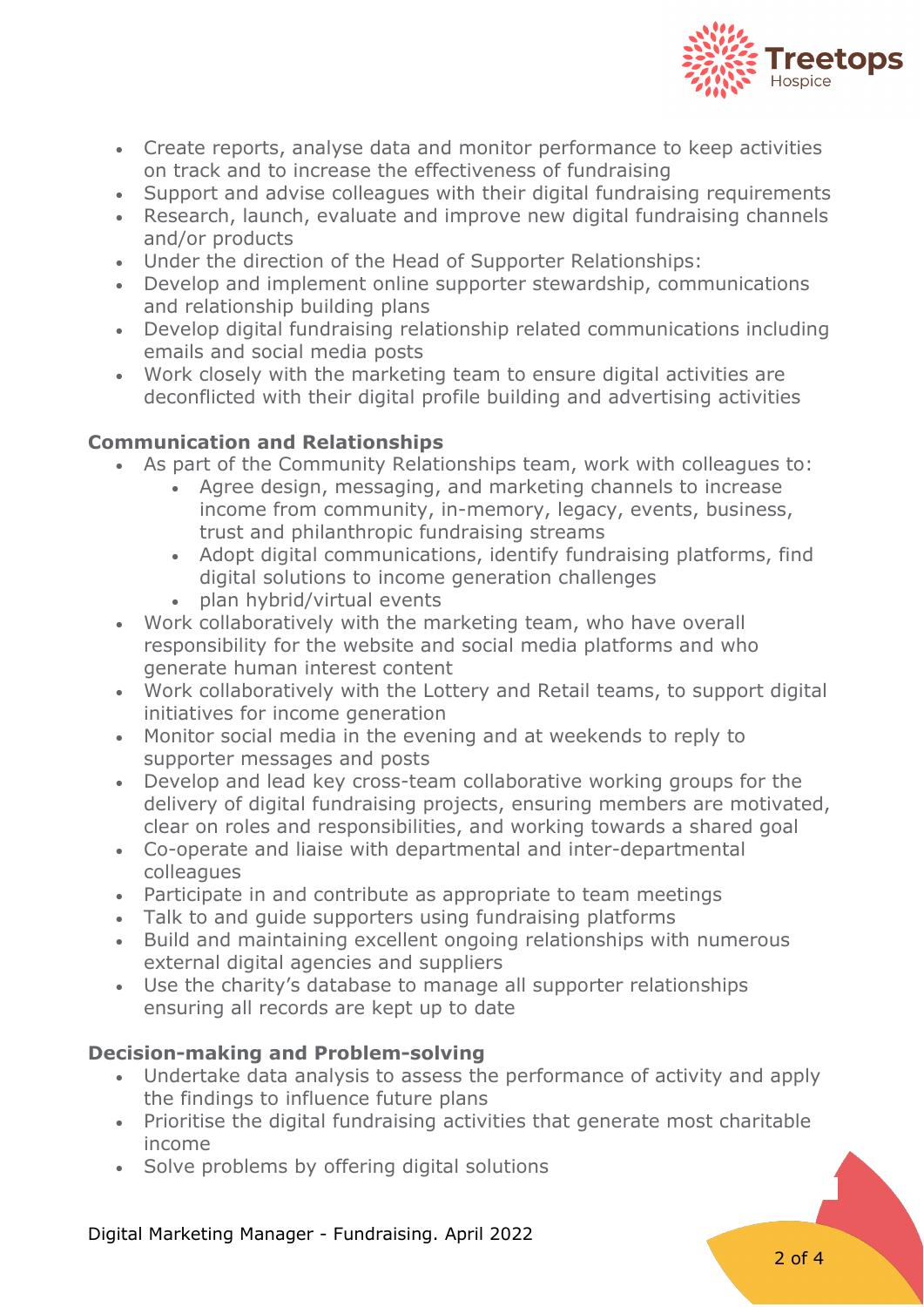

- Create reports, analyse data and monitor performance to keep activities on track and to increase the effectiveness of fundraising
- Support and advise colleagues with their digital fundraising requirements
- Research, launch, evaluate and improve new digital fundraising channels and/or products
- Under the direction of the Head of Supporter Relationships:
- Develop and implement online supporter stewardship, communications and relationship building plans
- Develop digital fundraising relationship related communications including emails and social media posts
- Work closely with the marketing team to ensure digital activities are deconflicted with their digital profile building and advertising activities

## **Communication and Relationships**

- As part of the Community Relationships team, work with colleagues to:
	- Agree design, messaging, and marketing channels to increase income from community, in-memory, legacy, events, business, trust and philanthropic fundraising streams
	- Adopt digital communications, identify fundraising platforms, find digital solutions to income generation challenges
	- plan hybrid/virtual events
- Work collaboratively with the marketing team, who have overall responsibility for the website and social media platforms and who generate human interest content
- Work collaboratively with the Lottery and Retail teams, to support digital initiatives for income generation
- Monitor social media in the evening and at weekends to reply to supporter messages and posts
- Develop and lead key cross-team collaborative working groups for the delivery of digital fundraising projects, ensuring members are motivated, clear on roles and responsibilities, and working towards a shared goal
- Co-operate and liaise with departmental and inter-departmental colleagues
- Participate in and contribute as appropriate to team meetings
- Talk to and guide supporters using fundraising platforms
- Build and maintaining excellent ongoing relationships with numerous external digital agencies and suppliers
- Use the charity's database to manage all supporter relationships ensuring all records are kept up to date

# **Decision-making and Problem-solving**

- Undertake data analysis to assess the performance of activity and apply the findings to influence future plans
- Prioritise the digital fundraising activities that generate most charitable income
- Solve problems by offering digital solutions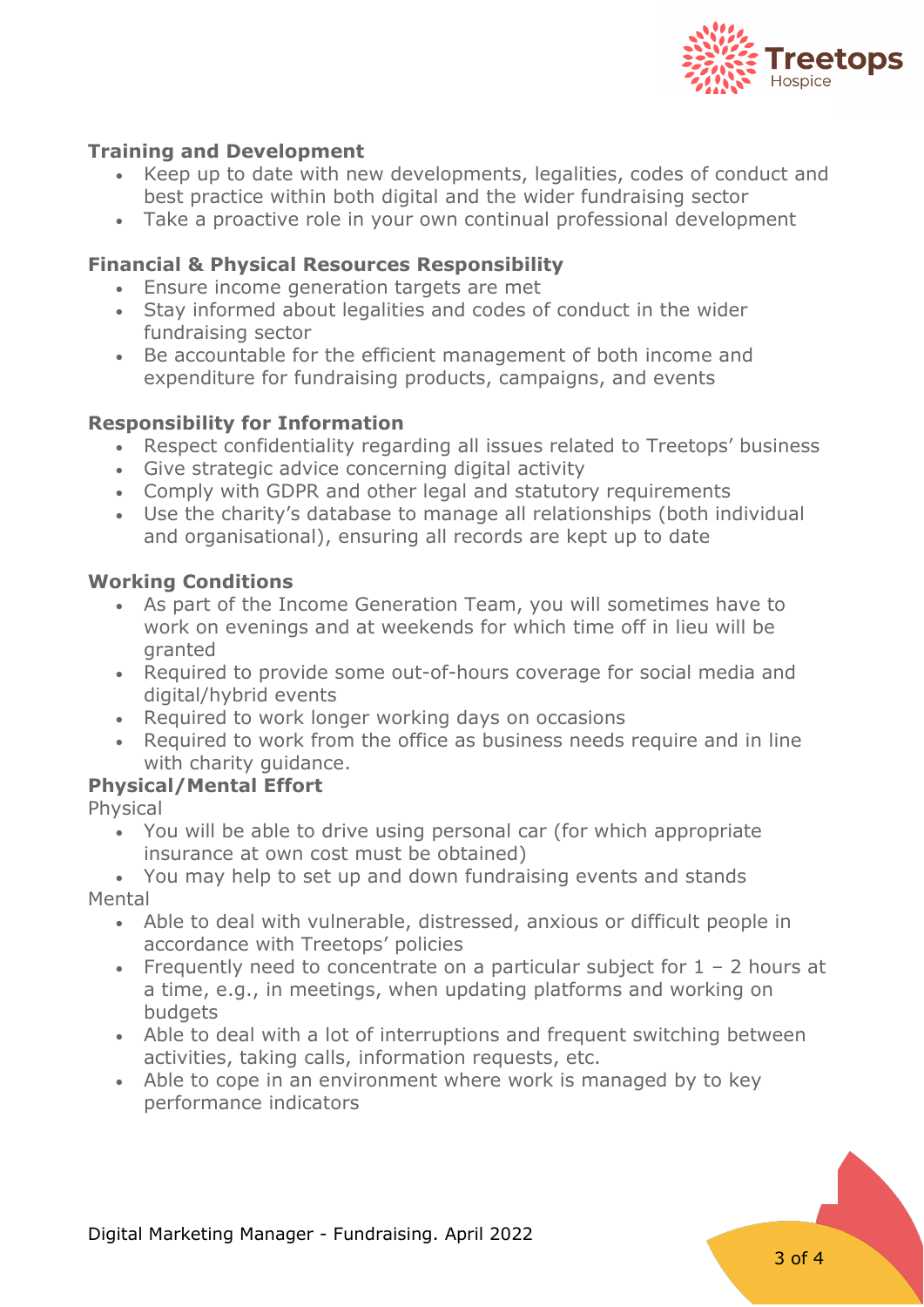

## **Training and Development**

- Keep up to date with new developments, legalities, codes of conduct and best practice within both digital and the wider fundraising sector
- Take a proactive role in your own continual professional development

## **Financial & Physical Resources Responsibility**

- Ensure income generation targets are met
- Stay informed about legalities and codes of conduct in the wider fundraising sector
- Be accountable for the efficient management of both income and expenditure for fundraising products, campaigns, and events

#### **Responsibility for Information**

- Respect confidentiality regarding all issues related to Treetops' business
- Give strategic advice concerning digital activity
- Comply with GDPR and other legal and statutory requirements
- Use the charity's database to manage all relationships (both individual and organisational), ensuring all records are kept up to date

#### **Working Conditions**

- As part of the Income Generation Team, you will sometimes have to work on evenings and at weekends for which time off in lieu will be granted
- Required to provide some out-of-hours coverage for social media and digital/hybrid events
- Required to work longer working days on occasions
- Required to work from the office as business needs require and in line with charity guidance.

#### **Physical/Mental Effort**

Physical

- You will be able to drive using personal car (for which appropriate insurance at own cost must be obtained)
- You may help to set up and down fundraising events and stands Mental
	- Able to deal with vulnerable, distressed, anxious or difficult people in accordance with Treetops' policies
	- Frequently need to concentrate on a particular subject for  $1 2$  hours at a time, e.g., in meetings, when updating platforms and working on **budgets**
	- Able to deal with a lot of interruptions and frequent switching between activities, taking calls, information requests, etc.
	- Able to cope in an environment where work is managed by to key performance indicators